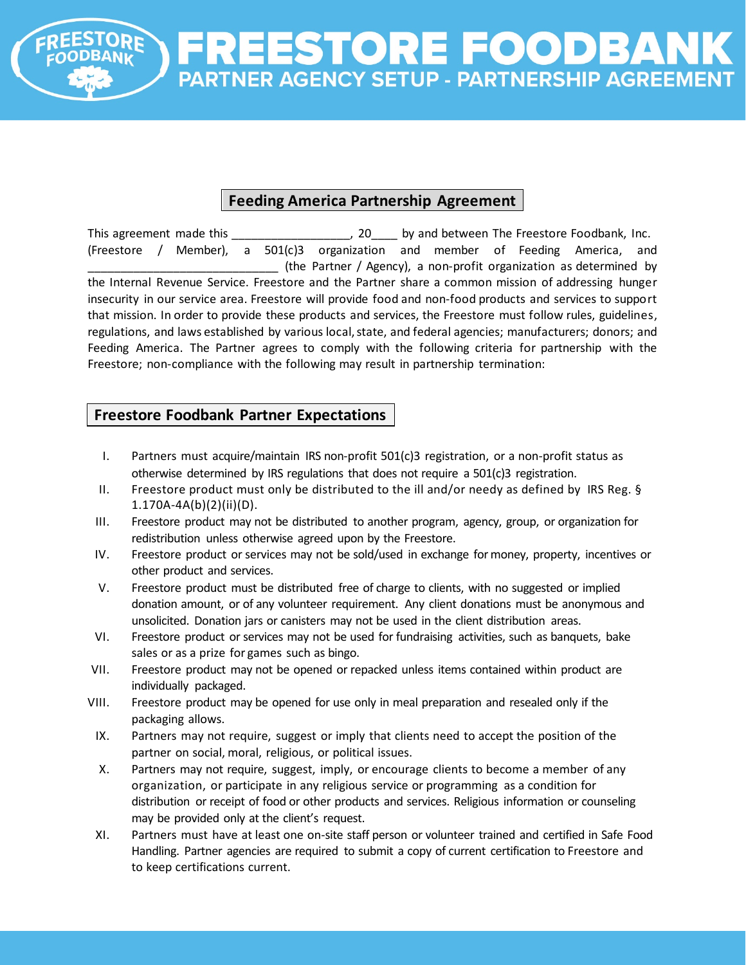

## **Feeding America Partnership Agreement**

This agreement made this \_\_\_\_\_\_\_\_\_\_\_\_\_\_\_\_\_\_\_\_\_, 20 \_\_\_\_ by and between The Freestore Foodbank, Inc. (Freestore / Member), a 501(c)3 organization and member of Feeding America, and \_\_\_\_\_\_\_\_\_\_\_\_\_\_\_\_\_\_\_\_\_\_\_\_\_\_\_\_\_ (the Partner / Agency), a non-profit organization as determined by the Internal Revenue Service. Freestore and the Partner share a common mission of addressing hunger insecurity in our service area. Freestore will provide food and non-food products and services to support that mission. In order to provide these products and services, the Freestore must follow rules, guidelines, regulations, and laws established by various local, state, and federal agencies; manufacturers; donors; and Feeding America. The Partner agrees to comply with the following criteria for partnership with the Freestore; non-compliance with the following may result in partnership termination:

## **Freestore Foodbank Partner Expectations**

- I. Partners must acquire/maintain IRS non-profit 501(c)3 registration, or a non-profit status as otherwise determined by IRS regulations that does not require a 501(c)3 registration.
- II. Freestore product must only be distributed to the ill and/or needy as defined by IRS Reg. § 1.170A-4A(b)(2)(ii)(D).
- III. Freestore product may not be distributed to another program, agency, group, or organization for redistribution unless otherwise agreed upon by the Freestore.
- IV. Freestore product or services may not be sold/used in exchange formoney, property, incentives or other product and services.
- V. Freestore product must be distributed free of charge to clients, with no suggested or implied donation amount, or of any volunteer requirement. Any client donations must be anonymous and unsolicited. Donation jars or canisters may not be used in the client distribution areas.
- VI. Freestore product or services may not be used for fundraising activities, such as banquets, bake sales or as a prize for games such as bingo.
- VII. Freestore product may not be opened or repacked unless items contained within product are individually packaged.
- VIII. Freestore product may be opened for use only in meal preparation and resealed only if the packaging allows.
- IX. Partners may not require, suggest or imply that clients need to accept the position of the partner on social, moral, religious, or political issues.
- X. Partners may not require, suggest, imply, or encourage clients to become a member of any organization, or participate in any religious service or programming as a condition for distribution or receipt of food or other products and services. Religious information or counseling may be provided only at the client's request.
- XI. Partners must have at least one on-site staff person or volunteer trained and certified in Safe Food Handling. Partner agencies are required to submit a copy of current certification to Freestore and to keep certifications current.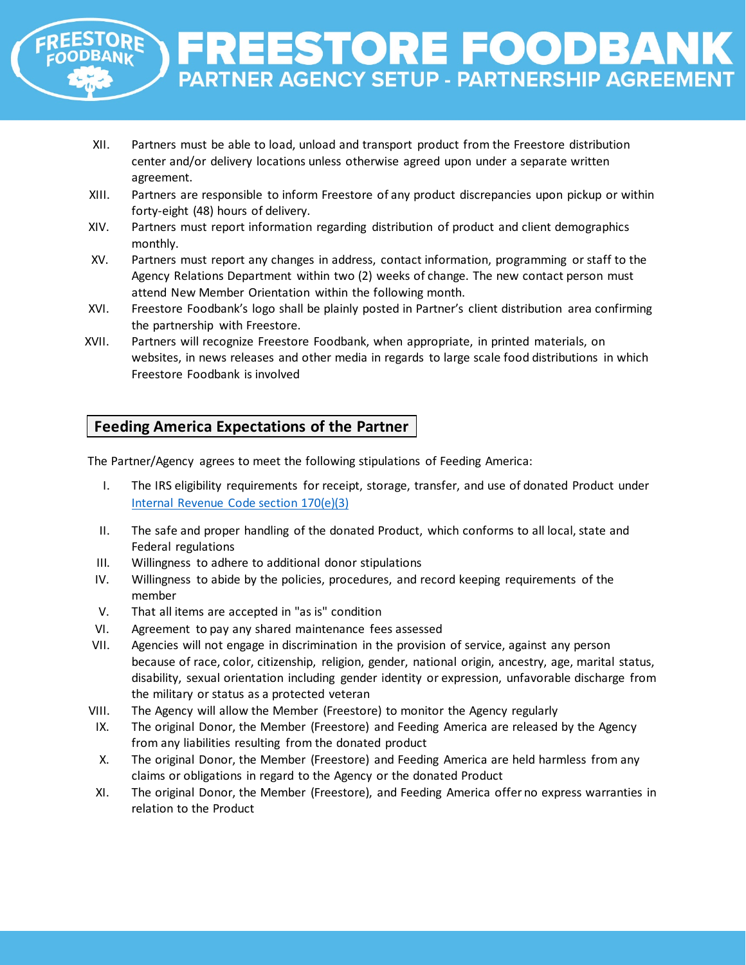

- XII. Partners must be able to load, unload and transport product from the Freestore distribution center and/or delivery locations unless otherwise agreed upon under a separate written agreement.
- XIII. Partners are responsible to inform Freestore of any product discrepancies upon pickup or within forty-eight (48) hours of delivery.
- XIV. Partners must report information regarding distribution of product and client demographics monthly.
- XV. Partners must report any changes in address, contact information, programming or staff to the Agency Relations Department within two (2) weeks of change. The new contact person must attend New Member Orientation within the following month.
- XVI. Freestore Foodbank's logo shall be plainly posted in Partner's client distribution area confirming the partnership with Freestore.
- XVII. Partners will recognize Freestore Foodbank, when appropriate, in printed materials, on websites, in news releases and other media in regards to large scale food distributions in which Freestore Foodbank is involved

## **Feeding America Expectations of the Partner**

The Partner/Agency agrees to meet the following stipulations of Feeding America:

- I. The IRS eligibility requirements for receipt, storage, transfer, and use of donated Product under [Internal Revenue Code section 170\(e\)\(3\)](https://irc.bloombergtax.com/public/uscode/doc/irc/section_170)
- II. The safe and proper handling of the donated Product, which conforms to all local, state and Federal regulations
- III. Willingness to adhere to additional donor stipulations
- IV. Willingness to abide by the policies, procedures, and record keeping requirements of the member
- V. That all items are accepted in "as is" condition
- VI. Agreement to pay any shared maintenance fees assessed
- VII. Agencies will not engage in discrimination in the provision of service, against any person because of race, color, citizenship, religion, gender, national origin, ancestry, age, marital status, disability, sexual orientation including gender identity or expression, unfavorable discharge from the military or status as a protected veteran
- VIII. The Agency will allow the Member (Freestore) to monitor the Agency regularly
- IX. The original Donor, the Member (Freestore) and Feeding America are released by the Agency from any liabilities resulting from the donated product
- X. The original Donor, the Member (Freestore) and Feeding America are held harmless from any claims or obligations in regard to the Agency or the donated Product
- XI. The original Donor, the Member (Freestore), and Feeding America offer no express warranties in relation to the Product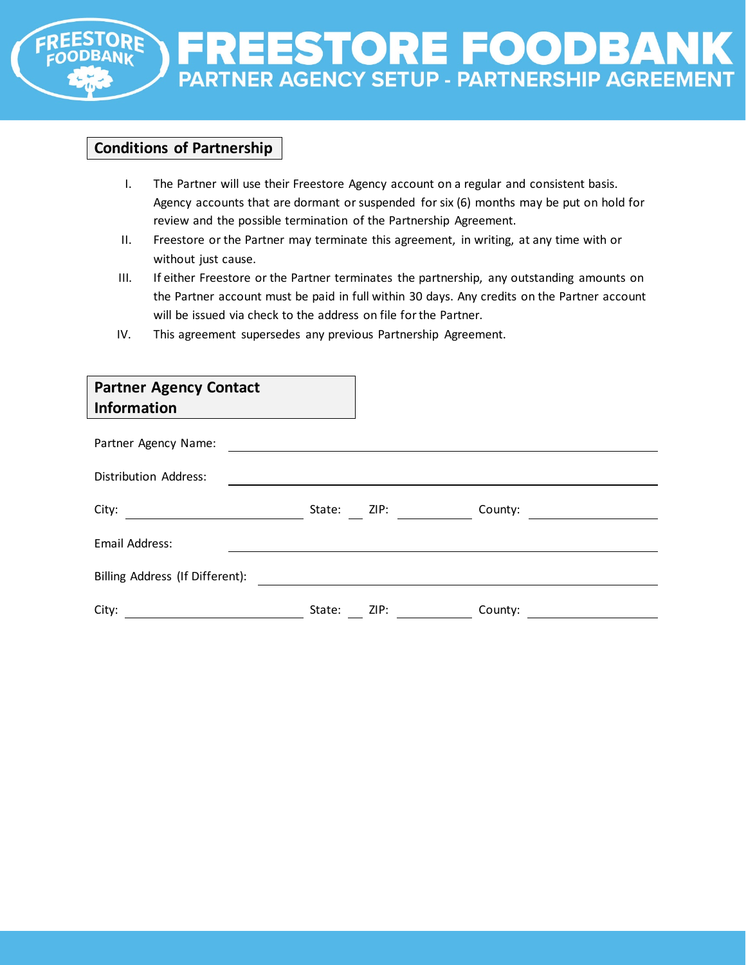

## **Conditions of Partnership**

- I. The Partner will use their Freestore Agency account on a regular and consistent basis. Agency accounts that are dormant or suspended for six (6) months may be put on hold for review and the possible termination of the Partnership Agreement.
- II. Freestore or the Partner may terminate this agreement, in writing, at any time with or without just cause.
- III. If either Freestore or the Partner terminates the partnership, any outstanding amounts on the Partner account must be paid in full within 30 days. Any credits on the Partner account will be issued via check to the address on file for the Partner.
- IV. This agreement supersedes any previous Partnership Agreement.

| <b>Partner Agency Contact</b><br><b>Information</b> |        |                                                                                                                                                                                                                                |         |  |
|-----------------------------------------------------|--------|--------------------------------------------------------------------------------------------------------------------------------------------------------------------------------------------------------------------------------|---------|--|
| Partner Agency Name:                                |        |                                                                                                                                                                                                                                |         |  |
| Distribution Address:                               |        |                                                                                                                                                                                                                                |         |  |
| City:                                               | State: | ZIP: the contract of the contract of the contract of the contract of the contract of the contract of the contract of the contract of the contract of the contract of the contract of the contract of the contract of the contr | County: |  |
| Email Address:                                      |        |                                                                                                                                                                                                                                |         |  |
| Billing Address (If Different):                     |        |                                                                                                                                                                                                                                |         |  |
| City:                                               | State: | ZIP:                                                                                                                                                                                                                           | County: |  |